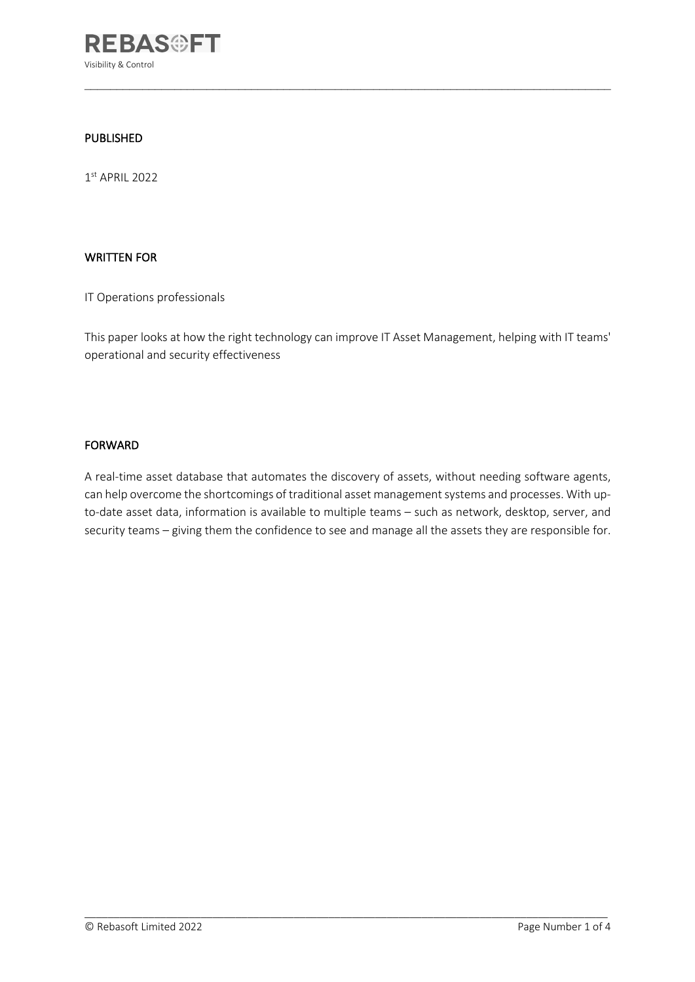

#### PUBLISHED

 $1<sup>st</sup>$  APRIL 2022

#### WRITTEN FOR

IT Operations professionals

This paper looks at how the right technology can improve IT Asset Management, helping with IT teams' operational and security effectiveness

 $\mathcal{L}_\text{max}$  and  $\mathcal{L}_\text{max}$  and  $\mathcal{L}_\text{max}$  and  $\mathcal{L}_\text{max}$  and  $\mathcal{L}_\text{max}$  and  $\mathcal{L}_\text{max}$ 

#### FORWARD

A real-time asset database that automates the discovery of assets, without needing software agents, can help overcome the shortcomings of traditional asset management systems and processes. With upto-date asset data, information is available to multiple teams – such as network, desktop, server, and security teams – giving them the confidence to see and manage all the assets they are responsible for.

 $\_$  ,  $\_$  ,  $\_$  ,  $\_$  ,  $\_$  ,  $\_$  ,  $\_$  ,  $\_$  ,  $\_$  ,  $\_$  ,  $\_$  ,  $\_$  ,  $\_$  ,  $\_$  ,  $\_$  ,  $\_$  ,  $\_$  ,  $\_$  ,  $\_$  ,  $\_$  ,  $\_$  ,  $\_$  ,  $\_$  ,  $\_$  ,  $\_$  ,  $\_$  ,  $\_$  ,  $\_$  ,  $\_$  ,  $\_$  ,  $\_$  ,  $\_$  ,  $\_$  ,  $\_$  ,  $\_$  ,  $\_$  ,  $\_$  ,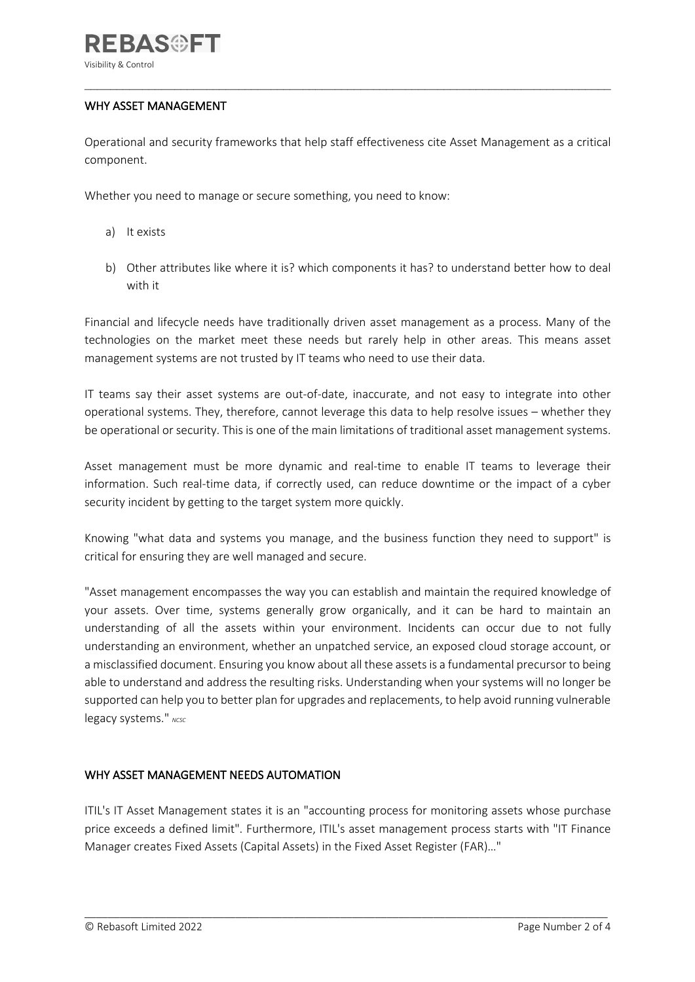### WHY ASSET MANAGEMENT

Operational and security frameworks that help staff effectiveness cite Asset Management as a critical component.

 $\mathcal{L}_\text{max}$  and  $\mathcal{L}_\text{max}$  and  $\mathcal{L}_\text{max}$  and  $\mathcal{L}_\text{max}$  and  $\mathcal{L}_\text{max}$  and  $\mathcal{L}_\text{max}$ 

Whether you need to manage or secure something, you need to know:

- a) It exists
- b) Other attributes like where it is? which components it has? to understand better how to deal with it

Financial and lifecycle needs have traditionally driven asset management as a process. Many of the technologies on the market meet these needs but rarely help in other areas. This means asset management systems are not trusted by IT teams who need to use their data.

IT teams say their asset systems are out-of-date, inaccurate, and not easy to integrate into other operational systems. They, therefore, cannot leverage this data to help resolve issues – whether they be operational or security. This is one of the main limitations of traditional asset management systems.

Asset management must be more dynamic and real-time to enable IT teams to leverage their information. Such real-time data, if correctly used, can reduce downtime or the impact of a cyber security incident by getting to the target system more quickly.

Knowing "what data and systems you manage, and the business function they need to support" is critical for ensuring they are well managed and secure.

"Asset management encompasses the way you can establish and maintain the required knowledge of your assets. Over time, systems generally grow organically, and it can be hard to maintain an understanding of all the assets within your environment. Incidents can occur due to not fully understanding an environment, whether an unpatched service, an exposed cloud storage account, or a misclassified document. Ensuring you know about all these assets is a fundamental precursor to being able to understand and address the resulting risks. Understanding when your systems will no longer be supported can help you to better plan for upgrades and replacements, to help avoid running vulnerable legacy systems." NCSC

## WHY ASSET MANAGEMENT NEEDS AUTOMATION

ITIL's IT Asset Management states it is an "accounting process for monitoring assets whose purchase price exceeds a defined limit". Furthermore, ITIL's asset management process starts with "IT Finance Manager creates Fixed Assets (Capital Assets) in the Fixed Asset Register (FAR)…"

 $\_$  ,  $\_$  ,  $\_$  ,  $\_$  ,  $\_$  ,  $\_$  ,  $\_$  ,  $\_$  ,  $\_$  ,  $\_$  ,  $\_$  ,  $\_$  ,  $\_$  ,  $\_$  ,  $\_$  ,  $\_$  ,  $\_$  ,  $\_$  ,  $\_$  ,  $\_$  ,  $\_$  ,  $\_$  ,  $\_$  ,  $\_$  ,  $\_$  ,  $\_$  ,  $\_$  ,  $\_$  ,  $\_$  ,  $\_$  ,  $\_$  ,  $\_$  ,  $\_$  ,  $\_$  ,  $\_$  ,  $\_$  ,  $\_$  ,